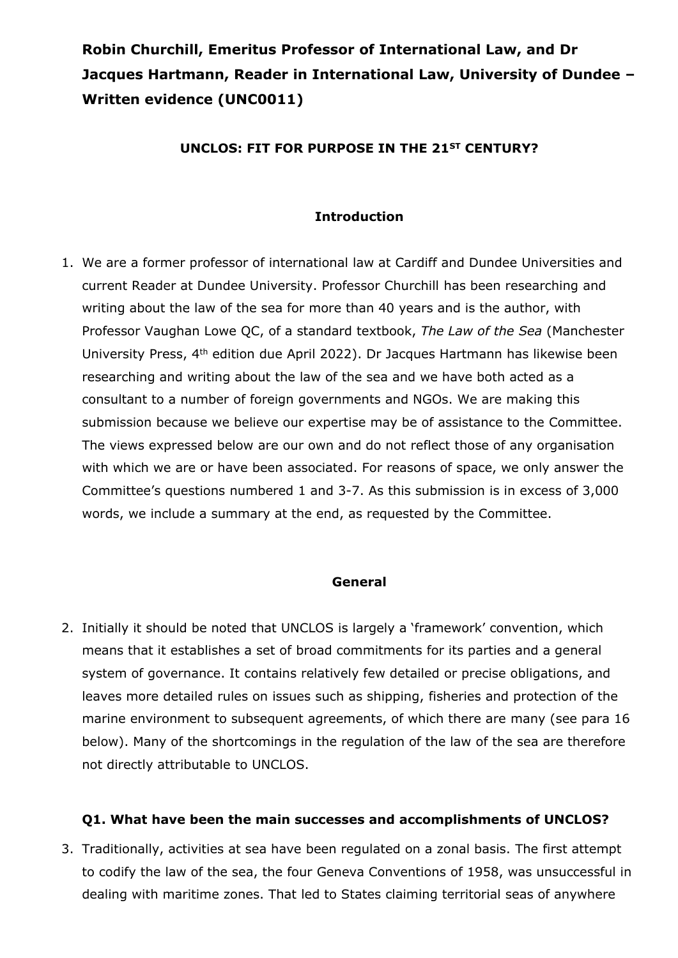# **Robin Churchill, Emeritus Professor of International Law, and Dr Jacques Hartmann, Reader in International Law, University of Dundee – Written evidence (UNC0011)**

### **UNCLOS: FIT FOR PURPOSE IN THE 21ST CENTURY?**

### **Introduction**

1. We are a former professor of international law at Cardiff and Dundee Universities and current Reader at Dundee University. Professor Churchill has been researching and writing about the law of the sea for more than 40 years and is the author, with Professor Vaughan Lowe QC, of a standard textbook, *The Law of the Sea* (Manchester University Press, 4th edition due April 2022). Dr Jacques Hartmann has likewise been researching and writing about the law of the sea and we have both acted as a consultant to a number of foreign governments and NGOs. We are making this submission because we believe our expertise may be of assistance to the Committee. The views expressed below are our own and do not reflect those of any organisation with which we are or have been associated. For reasons of space, we only answer the Committee's questions numbered 1 and 3-7. As this submission is in excess of 3,000 words, we include a summary at the end, as requested by the Committee.

#### **General**

2. Initially it should be noted that UNCLOS is largely a 'framework' convention, which means that it establishes a set of broad commitments for its parties and a general system of governance. It contains relatively few detailed or precise obligations, and leaves more detailed rules on issues such as shipping, fisheries and protection of the marine environment to subsequent agreements, of which there are many (see para 16 below). Many of the shortcomings in the regulation of the law of the sea are therefore not directly attributable to UNCLOS.

#### **Q1. What have been the main successes and accomplishments of UNCLOS?**

3. Traditionally, activities at sea have been regulated on a zonal basis. The first attempt to codify the law of the sea, the four Geneva Conventions of 1958, was unsuccessful in dealing with maritime zones. That led to States claiming territorial seas of anywhere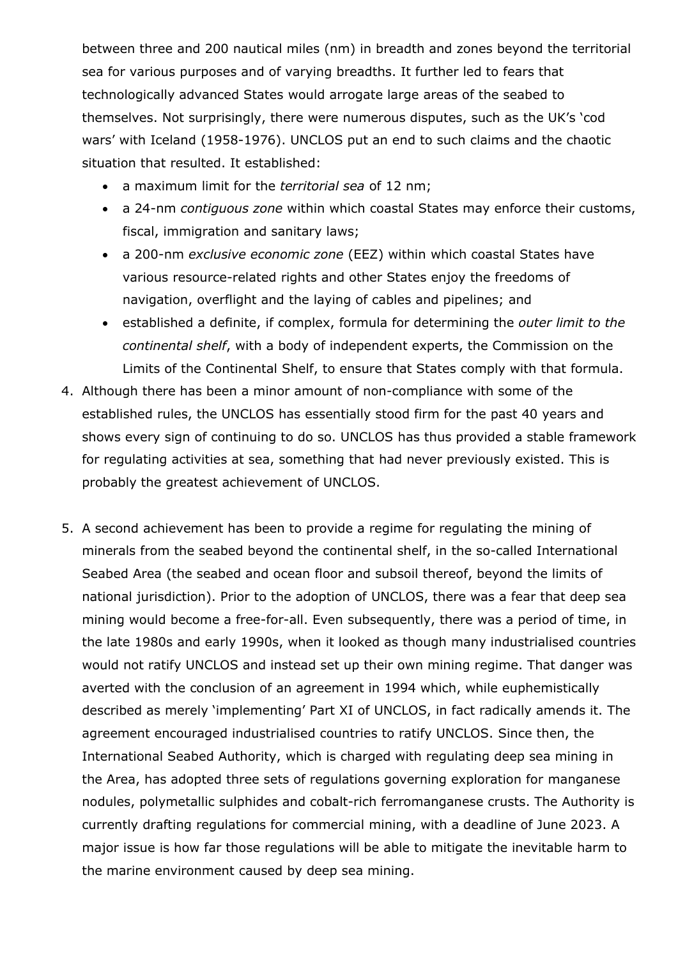between three and 200 nautical miles (nm) in breadth and zones beyond the territorial sea for various purposes and of varying breadths. It further led to fears that technologically advanced States would arrogate large areas of the seabed to themselves. Not surprisingly, there were numerous disputes, such as the UK's 'cod wars' with Iceland (1958-1976). UNCLOS put an end to such claims and the chaotic situation that resulted. It established:

- a maximum limit for the *territorial sea* of 12 nm;
- a 24-nm *contiguous zone* within which coastal States may enforce their customs, fiscal, immigration and sanitary laws;
- a 200-nm *exclusive economic zone* (EEZ) within which coastal States have various resource-related rights and other States enjoy the freedoms of navigation, overflight and the laying of cables and pipelines; and
- established a definite, if complex, formula for determining the *outer limit to the continental shelf*, with a body of independent experts, the Commission on the Limits of the Continental Shelf, to ensure that States comply with that formula.
- 4. Although there has been a minor amount of non-compliance with some of the established rules, the UNCLOS has essentially stood firm for the past 40 years and shows every sign of continuing to do so. UNCLOS has thus provided a stable framework for regulating activities at sea, something that had never previously existed. This is probably the greatest achievement of UNCLOS.
- 5. A second achievement has been to provide a regime for regulating the mining of minerals from the seabed beyond the continental shelf, in the so-called International Seabed Area (the seabed and ocean floor and subsoil thereof, beyond the limits of national jurisdiction). Prior to the adoption of UNCLOS, there was a fear that deep sea mining would become a free-for-all. Even subsequently, there was a period of time, in the late 1980s and early 1990s, when it looked as though many industrialised countries would not ratify UNCLOS and instead set up their own mining regime. That danger was averted with the conclusion of an agreement in 1994 which, while euphemistically described as merely 'implementing' Part XI of UNCLOS, in fact radically amends it. The agreement encouraged industrialised countries to ratify UNCLOS. Since then, the International Seabed Authority, which is charged with regulating deep sea mining in the Area, has adopted three sets of regulations governing exploration for manganese nodules, polymetallic sulphides and cobalt-rich ferromanganese crusts. The Authority is currently drafting regulations for commercial mining, with a deadline of June 2023. A major issue is how far those regulations will be able to mitigate the inevitable harm to the marine environment caused by deep sea mining.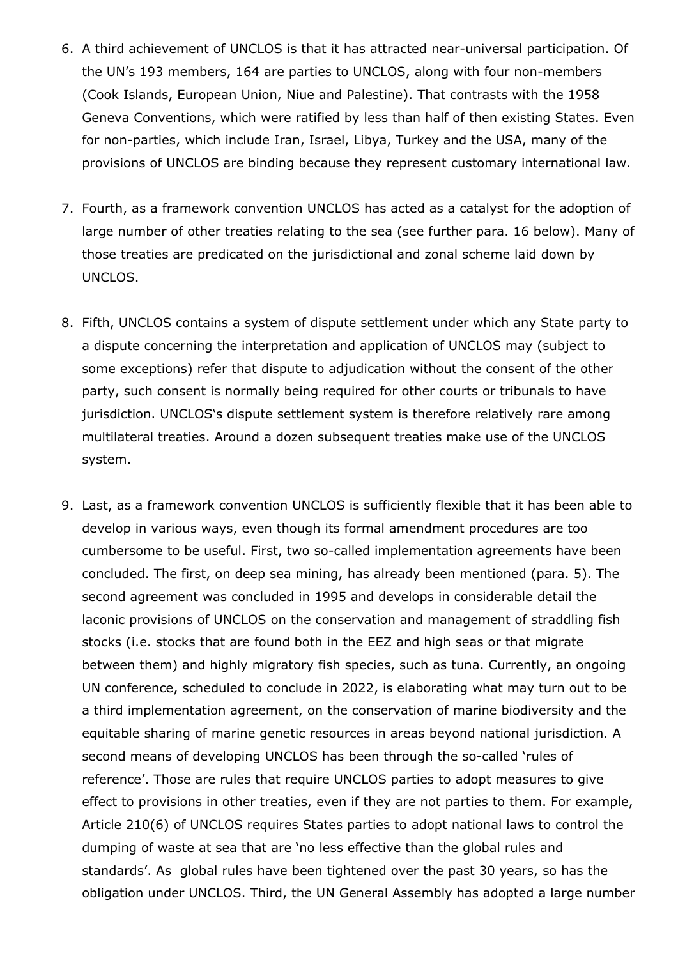- 6. A third achievement of UNCLOS is that it has attracted near-universal participation. Of the UN's 193 members, 164 are parties to UNCLOS, along with four non-members (Cook Islands, European Union, Niue and Palestine). That contrasts with the 1958 Geneva Conventions, which were ratified by less than half of then existing States. Even for non-parties, which include Iran, Israel, Libya, Turkey and the USA, many of the provisions of UNCLOS are binding because they represent customary international law.
- 7. Fourth, as a framework convention UNCLOS has acted as a catalyst for the adoption of large number of other treaties relating to the sea (see further para. 16 below). Many of those treaties are predicated on the jurisdictional and zonal scheme laid down by UNCLOS.
- 8. Fifth, UNCLOS contains a system of dispute settlement under which any State party to a dispute concerning the interpretation and application of UNCLOS may (subject to some exceptions) refer that dispute to adjudication without the consent of the other party, such consent is normally being required for other courts or tribunals to have jurisdiction. UNCLOS's dispute settlement system is therefore relatively rare among multilateral treaties. Around a dozen subsequent treaties make use of the UNCLOS system.
- 9. Last, as a framework convention UNCLOS is sufficiently flexible that it has been able to develop in various ways, even though its formal amendment procedures are too cumbersome to be useful. First, two so-called implementation agreements have been concluded. The first, on deep sea mining, has already been mentioned (para. 5). The second agreement was concluded in 1995 and develops in considerable detail the laconic provisions of UNCLOS on the conservation and management of straddling fish stocks (i.e. stocks that are found both in the EEZ and high seas or that migrate between them) and highly migratory fish species, such as tuna. Currently, an ongoing UN conference, scheduled to conclude in 2022, is elaborating what may turn out to be a third implementation agreement, on the conservation of marine biodiversity and the equitable sharing of marine genetic resources in areas beyond national jurisdiction. A second means of developing UNCLOS has been through the so-called 'rules of reference'. Those are rules that require UNCLOS parties to adopt measures to give effect to provisions in other treaties, even if they are not parties to them. For example, Article 210(6) of UNCLOS requires States parties to adopt national laws to control the dumping of waste at sea that are 'no less effective than the global rules and standards'. As global rules have been tightened over the past 30 years, so has the obligation under UNCLOS. Third, the UN General Assembly has adopted a large number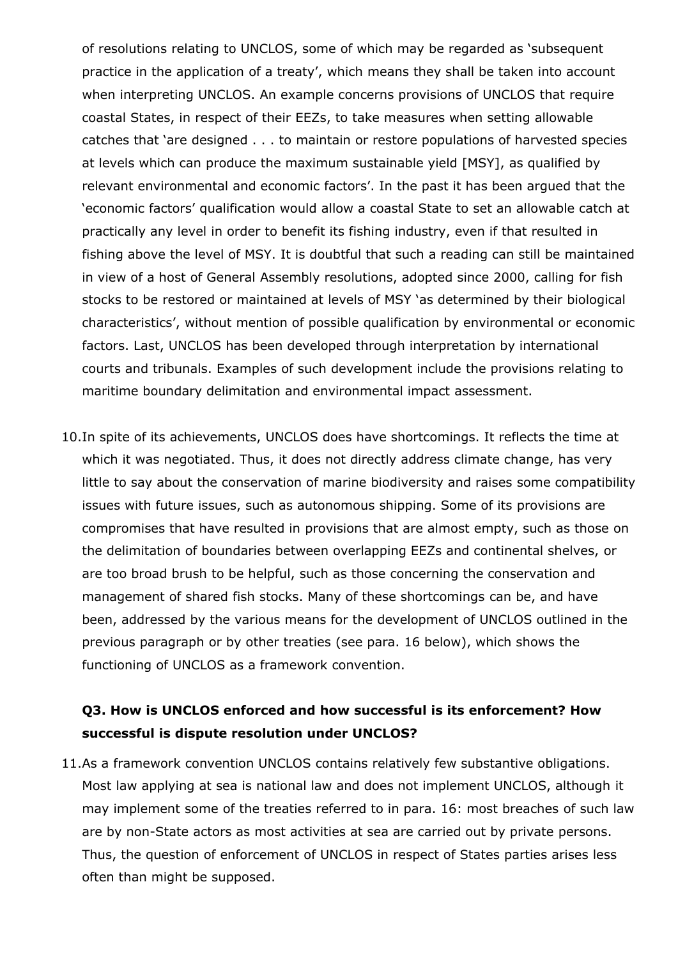of resolutions relating to UNCLOS, some of which may be regarded as 'subsequent practice in the application of a treaty', which means they shall be taken into account when interpreting UNCLOS. An example concerns provisions of UNCLOS that require coastal States, in respect of their EEZs, to take measures when setting allowable catches that 'are designed . . . to maintain or restore populations of harvested species at levels which can produce the maximum sustainable yield [MSY], as qualified by relevant environmental and economic factors'. In the past it has been argued that the 'economic factors' qualification would allow a coastal State to set an allowable catch at practically any level in order to benefit its fishing industry, even if that resulted in fishing above the level of MSY. It is doubtful that such a reading can still be maintained in view of a host of General Assembly resolutions, adopted since 2000, calling for fish stocks to be restored or maintained at levels of MSY 'as determined by their biological characteristics', without mention of possible qualification by environmental or economic factors. Last, UNCLOS has been developed through interpretation by international courts and tribunals. Examples of such development include the provisions relating to maritime boundary delimitation and environmental impact assessment.

10.In spite of its achievements, UNCLOS does have shortcomings. It reflects the time at which it was negotiated. Thus, it does not directly address climate change, has very little to say about the conservation of marine biodiversity and raises some compatibility issues with future issues, such as autonomous shipping. Some of its provisions are compromises that have resulted in provisions that are almost empty, such as those on the delimitation of boundaries between overlapping EEZs and continental shelves, or are too broad brush to be helpful, such as those concerning the conservation and management of shared fish stocks. Many of these shortcomings can be, and have been, addressed by the various means for the development of UNCLOS outlined in the previous paragraph or by other treaties (see para. 16 below), which shows the functioning of UNCLOS as a framework convention.

### **Q3. How is UNCLOS enforced and how successful is its enforcement? How successful is dispute resolution under UNCLOS?**

11.As a framework convention UNCLOS contains relatively few substantive obligations. Most law applying at sea is national law and does not implement UNCLOS, although it may implement some of the treaties referred to in para. 16: most breaches of such law are by non-State actors as most activities at sea are carried out by private persons. Thus, the question of enforcement of UNCLOS in respect of States parties arises less often than might be supposed.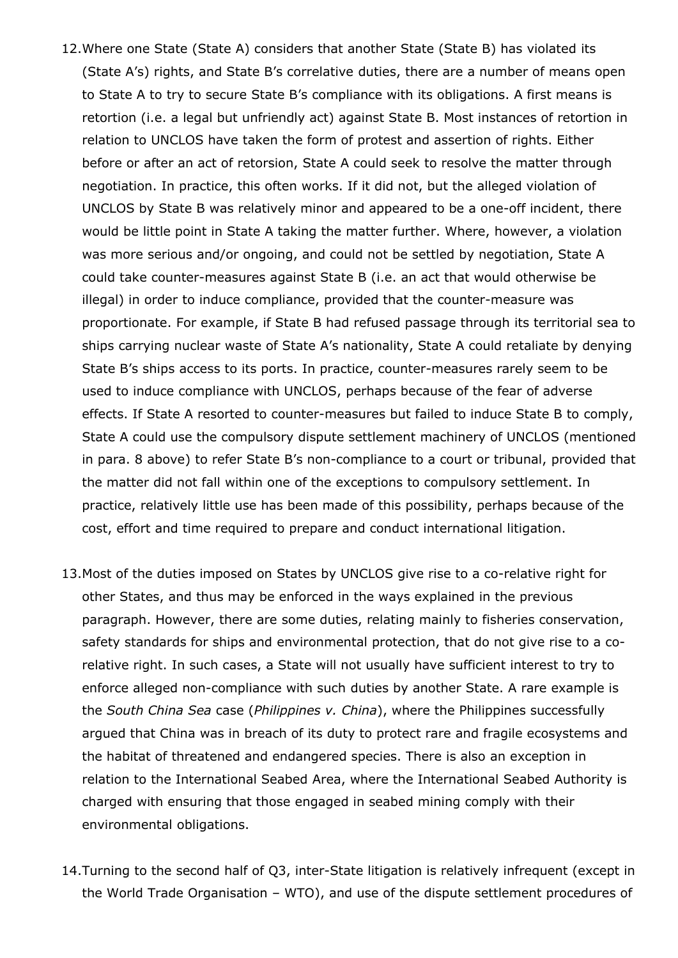- 12.Where one State (State A) considers that another State (State B) has violated its (State A's) rights, and State B's correlative duties, there are a number of means open to State A to try to secure State B's compliance with its obligations. A first means is retortion (i.e. a legal but unfriendly act) against State B. Most instances of retortion in relation to UNCLOS have taken the form of protest and assertion of rights. Either before or after an act of retorsion, State A could seek to resolve the matter through negotiation. In practice, this often works. If it did not, but the alleged violation of UNCLOS by State B was relatively minor and appeared to be a one-off incident, there would be little point in State A taking the matter further. Where, however, a violation was more serious and/or ongoing, and could not be settled by negotiation, State A could take counter-measures against State B (i.e. an act that would otherwise be illegal) in order to induce compliance, provided that the counter-measure was proportionate. For example, if State B had refused passage through its territorial sea to ships carrying nuclear waste of State A's nationality, State A could retaliate by denying State B's ships access to its ports. In practice, counter-measures rarely seem to be used to induce compliance with UNCLOS, perhaps because of the fear of adverse effects. If State A resorted to counter-measures but failed to induce State B to comply, State A could use the compulsory dispute settlement machinery of UNCLOS (mentioned in para. 8 above) to refer State B's non-compliance to a court or tribunal, provided that the matter did not fall within one of the exceptions to compulsory settlement. In practice, relatively little use has been made of this possibility, perhaps because of the cost, effort and time required to prepare and conduct international litigation.
- 13.Most of the duties imposed on States by UNCLOS give rise to a co-relative right for other States, and thus may be enforced in the ways explained in the previous paragraph. However, there are some duties, relating mainly to fisheries conservation, safety standards for ships and environmental protection, that do not give rise to a corelative right. In such cases, a State will not usually have sufficient interest to try to enforce alleged non-compliance with such duties by another State. A rare example is the *South China Sea* case (*Philippines v. China*), where the Philippines successfully argued that China was in breach of its duty to protect rare and fragile ecosystems and the habitat of threatened and endangered species. There is also an exception in relation to the International Seabed Area, where the International Seabed Authority is charged with ensuring that those engaged in seabed mining comply with their environmental obligations.
- 14.Turning to the second half of Q3, inter-State litigation is relatively infrequent (except in the World Trade Organisation – WTO), and use of the dispute settlement procedures of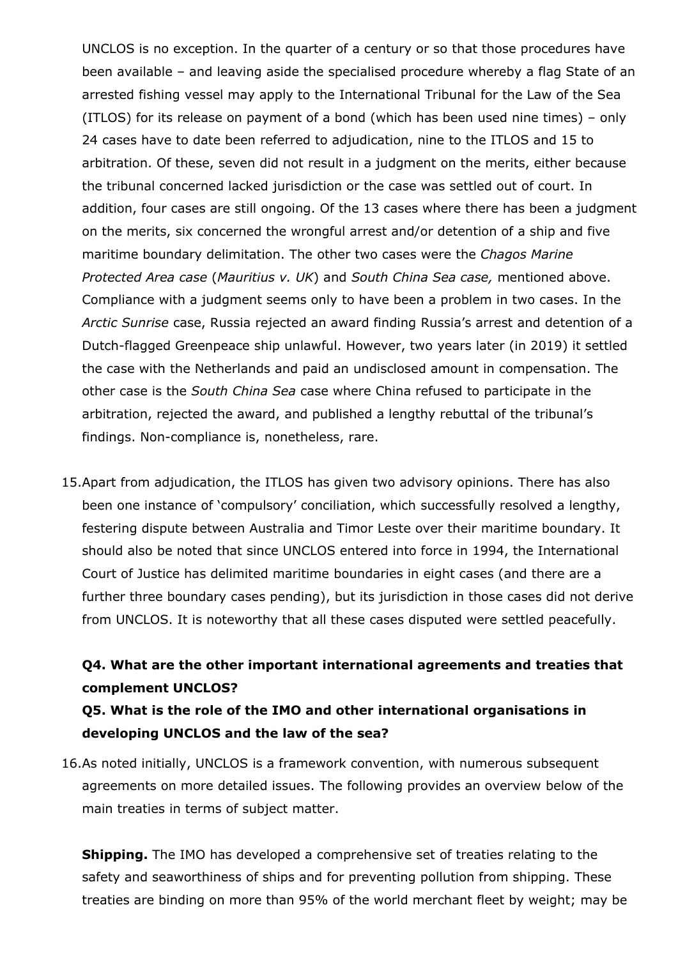UNCLOS is no exception. In the quarter of a century or so that those procedures have been available – and leaving aside the specialised procedure whereby a flag State of an arrested fishing vessel may apply to the International Tribunal for the Law of the Sea (ITLOS) for its release on payment of a bond (which has been used nine times) – only 24 cases have to date been referred to adjudication, nine to the ITLOS and 15 to arbitration. Of these, seven did not result in a judgment on the merits, either because the tribunal concerned lacked jurisdiction or the case was settled out of court. In addition, four cases are still ongoing. Of the 13 cases where there has been a judgment on the merits, six concerned the wrongful arrest and/or detention of a ship and five maritime boundary delimitation. The other two cases were the *Chagos Marine Protected Area case* (*Mauritius v. UK*) and *South China Sea case,* mentioned above. Compliance with a judgment seems only to have been a problem in two cases. In the *Arctic Sunrise* case, Russia rejected an award finding Russia's arrest and detention of a Dutch-flagged Greenpeace ship unlawful. However, two years later (in 2019) it settled the case with the Netherlands and paid an undisclosed amount in compensation. The other case is the *South China Sea* case where China refused to participate in the arbitration, rejected the award, and published a lengthy rebuttal of the tribunal's findings. Non-compliance is, nonetheless, rare.

15.Apart from adjudication, the ITLOS has given two advisory opinions. There has also been one instance of 'compulsory' conciliation, which successfully resolved a lengthy, festering dispute between Australia and Timor Leste over their maritime boundary. It should also be noted that since UNCLOS entered into force in 1994, the International Court of Justice has delimited maritime boundaries in eight cases (and there are a further three boundary cases pending), but its jurisdiction in those cases did not derive from UNCLOS. It is noteworthy that all these cases disputed were settled peacefully.

# **Q4. What are the other important international agreements and treaties that complement UNCLOS?**

### **Q5. What is the role of the IMO and other international organisations in developing UNCLOS and the law of the sea?**

16.As noted initially, UNCLOS is a framework convention, with numerous subsequent agreements on more detailed issues. The following provides an overview below of the main treaties in terms of subject matter.

**Shipping.** The IMO has developed a comprehensive set of treaties relating to the safety and seaworthiness of ships and for preventing pollution from shipping. These treaties are binding on more than 95% of the world merchant fleet by weight; may be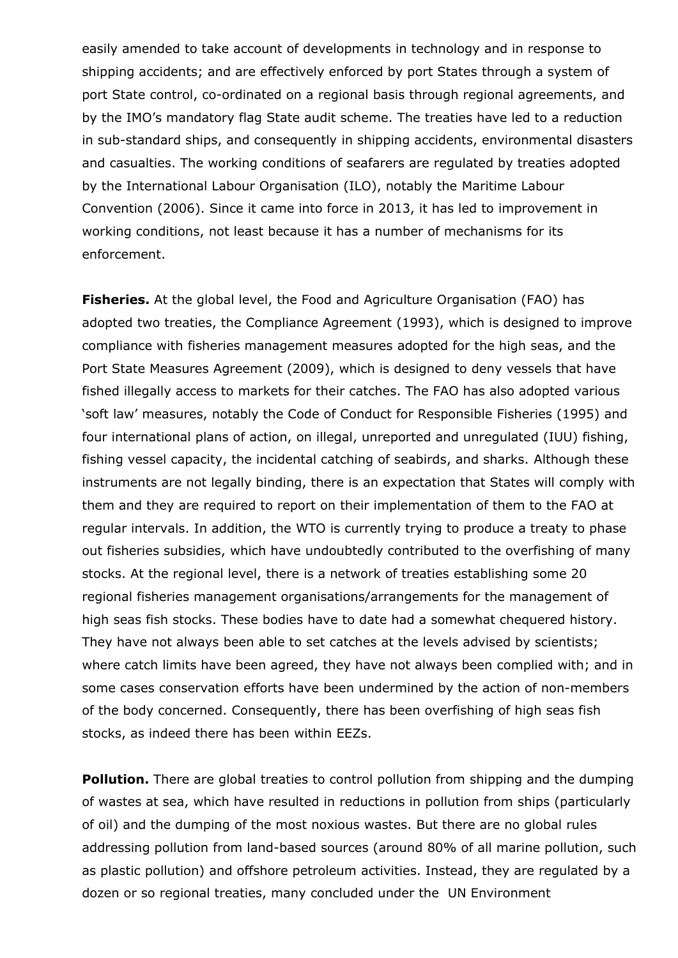easily amended to take account of developments in technology and in response to shipping accidents; and are effectively enforced by port States through a system of port State control, co-ordinated on a regional basis through regional agreements, and by the IMO's mandatory flag State audit scheme. The treaties have led to a reduction in sub-standard ships, and consequently in shipping accidents, environmental disasters and casualties. The working conditions of seafarers are regulated by treaties adopted by the International Labour Organisation (ILO), notably the Maritime Labour Convention (2006). Since it came into force in 2013, it has led to improvement in working conditions, not least because it has a number of mechanisms for its enforcement.

**Fisheries.** At the global level, the Food and Agriculture Organisation (FAO) has adopted two treaties, the Compliance Agreement (1993), which is designed to improve compliance with fisheries management measures adopted for the high seas, and the Port State Measures Agreement (2009), which is designed to deny vessels that have fished illegally access to markets for their catches. The FAO has also adopted various 'soft law' measures, notably the Code of Conduct for Responsible Fisheries (1995) and four international plans of action, on illegal, unreported and unregulated (IUU) fishing, fishing vessel capacity, the incidental catching of seabirds, and sharks. Although these instruments are not legally binding, there is an expectation that States will comply with them and they are required to report on their implementation of them to the FAO at regular intervals. In addition, the WTO is currently trying to produce a treaty to phase out fisheries subsidies, which have undoubtedly contributed to the overfishing of many stocks. At the regional level, there is a network of treaties establishing some 20 regional fisheries management organisations/arrangements for the management of high seas fish stocks. These bodies have to date had a somewhat chequered history. They have not always been able to set catches at the levels advised by scientists; where catch limits have been agreed, they have not always been complied with; and in some cases conservation efforts have been undermined by the action of non-members of the body concerned. Consequently, there has been overfishing of high seas fish stocks, as indeed there has been within EEZs.

**Pollution.** There are global treaties to control pollution from shipping and the dumping of wastes at sea, which have resulted in reductions in pollution from ships (particularly of oil) and the dumping of the most noxious wastes. But there are no global rules addressing pollution from land-based sources (around 80% of all marine pollution, such as plastic pollution) and offshore petroleum activities. Instead, they are regulated by a dozen or so regional treaties, many concluded under the UN Environment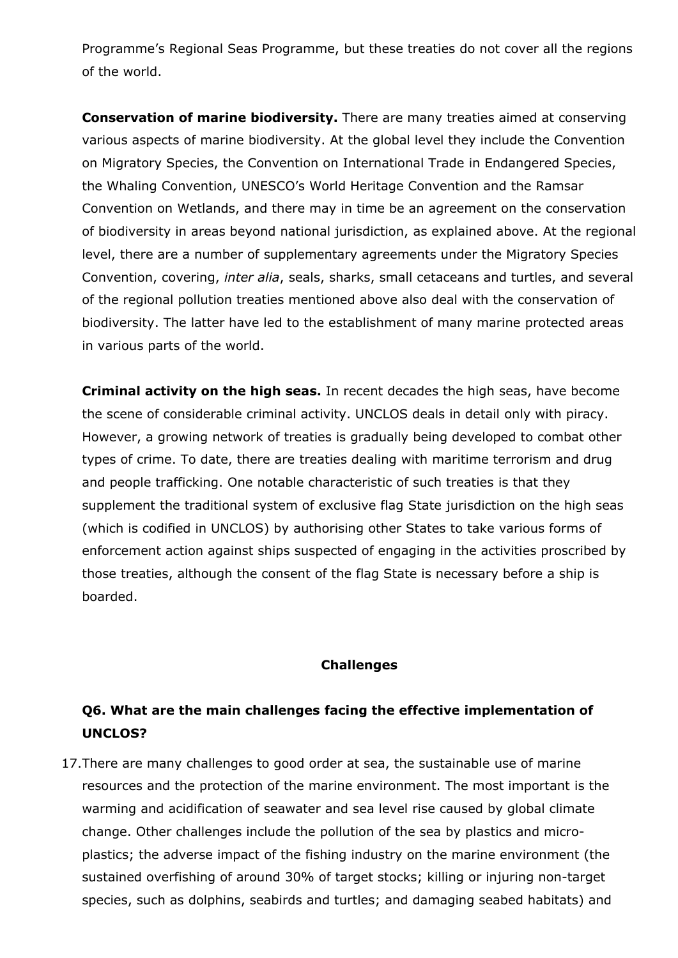Programme's Regional Seas Programme, but these treaties do not cover all the regions of the world.

**Conservation of marine biodiversity.** There are many treaties aimed at conserving various aspects of marine biodiversity. At the global level they include the Convention on Migratory Species, the Convention on International Trade in Endangered Species, the Whaling Convention, UNESCO's World Heritage Convention and the Ramsar Convention on Wetlands, and there may in time be an agreement on the conservation of biodiversity in areas beyond national jurisdiction, as explained above. At the regional level, there are a number of supplementary agreements under the Migratory Species Convention, covering, *inter alia*, seals, sharks, small cetaceans and turtles, and several of the regional pollution treaties mentioned above also deal with the conservation of biodiversity. The latter have led to the establishment of many marine protected areas in various parts of the world.

**Criminal activity on the high seas.** In recent decades the high seas, have become the scene of considerable criminal activity. UNCLOS deals in detail only with piracy. However, a growing network of treaties is gradually being developed to combat other types of crime. To date, there are treaties dealing with maritime terrorism and drug and people trafficking. One notable characteristic of such treaties is that they supplement the traditional system of exclusive flag State jurisdiction on the high seas (which is codified in UNCLOS) by authorising other States to take various forms of enforcement action against ships suspected of engaging in the activities proscribed by those treaties, although the consent of the flag State is necessary before a ship is boarded.

#### **Challenges**

### **Q6. What are the main challenges facing the effective implementation of UNCLOS?**

17.There are many challenges to good order at sea, the sustainable use of marine resources and the protection of the marine environment. The most important is the warming and acidification of seawater and sea level rise caused by global climate change. Other challenges include the pollution of the sea by plastics and microplastics; the adverse impact of the fishing industry on the marine environment (the sustained overfishing of around 30% of target stocks; killing or injuring non-target species, such as dolphins, seabirds and turtles; and damaging seabed habitats) and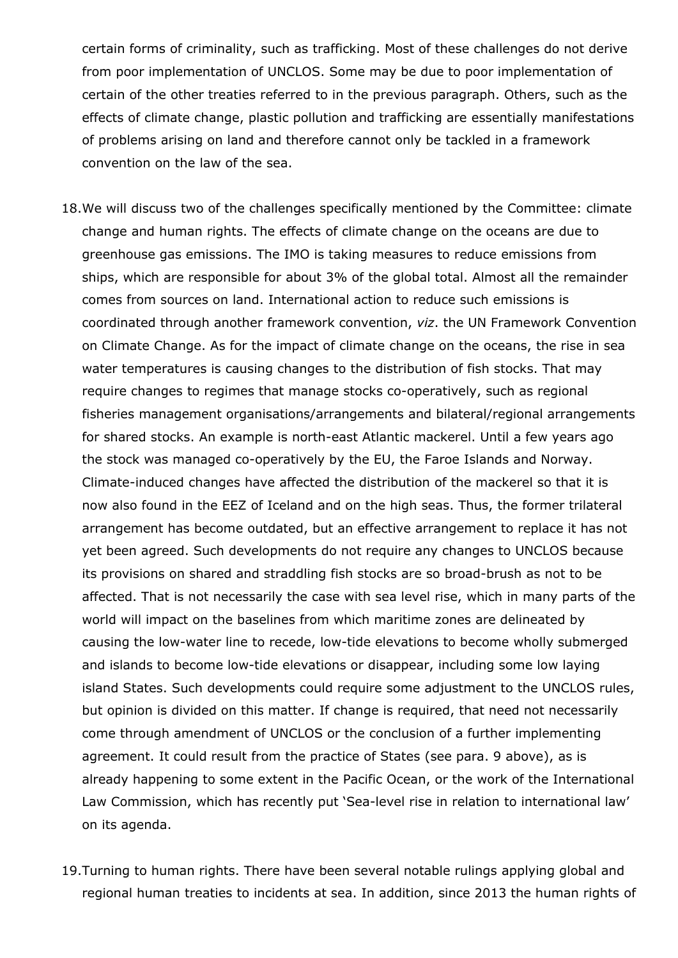certain forms of criminality, such as trafficking. Most of these challenges do not derive from poor implementation of UNCLOS. Some may be due to poor implementation of certain of the other treaties referred to in the previous paragraph. Others, such as the effects of climate change, plastic pollution and trafficking are essentially manifestations of problems arising on land and therefore cannot only be tackled in a framework convention on the law of the sea.

- 18.We will discuss two of the challenges specifically mentioned by the Committee: climate change and human rights. The effects of climate change on the oceans are due to greenhouse gas emissions. The IMO is taking measures to reduce emissions from ships, which are responsible for about 3% of the global total. Almost all the remainder comes from sources on land. International action to reduce such emissions is coordinated through another framework convention, *viz*. the UN Framework Convention on Climate Change. As for the impact of climate change on the oceans, the rise in sea water temperatures is causing changes to the distribution of fish stocks. That may require changes to regimes that manage stocks co-operatively, such as regional fisheries management organisations/arrangements and bilateral/regional arrangements for shared stocks. An example is north-east Atlantic mackerel. Until a few years ago the stock was managed co-operatively by the EU, the Faroe Islands and Norway. Climate-induced changes have affected the distribution of the mackerel so that it is now also found in the EEZ of Iceland and on the high seas. Thus, the former trilateral arrangement has become outdated, but an effective arrangement to replace it has not yet been agreed. Such developments do not require any changes to UNCLOS because its provisions on shared and straddling fish stocks are so broad-brush as not to be affected. That is not necessarily the case with sea level rise, which in many parts of the world will impact on the baselines from which maritime zones are delineated by causing the low-water line to recede, low-tide elevations to become wholly submerged and islands to become low-tide elevations or disappear, including some low laying island States. Such developments could require some adjustment to the UNCLOS rules, but opinion is divided on this matter. If change is required, that need not necessarily come through amendment of UNCLOS or the conclusion of a further implementing agreement. It could result from the practice of States (see para. 9 above), as is already happening to some extent in the Pacific Ocean, or the work of the International Law Commission, which has recently put 'Sea-level rise in relation to international law' on its agenda.
- 19.Turning to human rights. There have been several notable rulings applying global and regional human treaties to incidents at sea. In addition, since 2013 the human rights of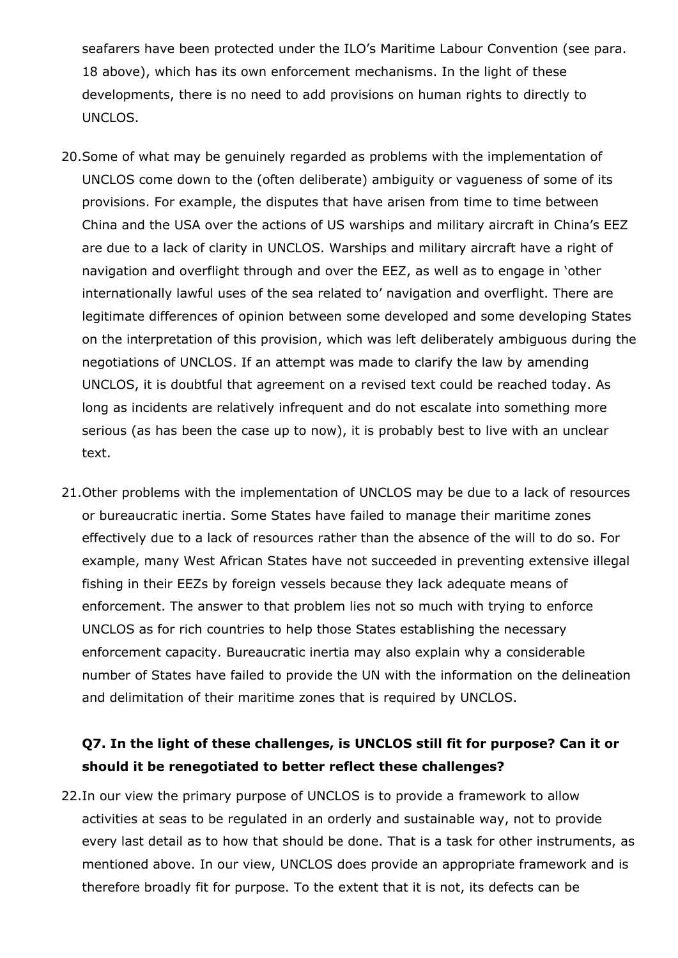seafarers have been protected under the ILO's Maritime Labour Convention (see para. 18 above), which has its own enforcement mechanisms. In the light of these developments, there is no need to add provisions on human rights to directly to UNCLOS.

- 20.Some of what may be genuinely regarded as problems with the implementation of UNCLOS come down to the (often deliberate) ambiguity or vagueness of some of its provisions. For example, the disputes that have arisen from time to time between China and the USA over the actions of US warships and military aircraft in China's EEZ are due to a lack of clarity in UNCLOS. Warships and military aircraft have a right of navigation and overflight through and over the EEZ, as well as to engage in 'other internationally lawful uses of the sea related to' navigation and overflight. There are legitimate differences of opinion between some developed and some developing States on the interpretation of this provision, which was left deliberately ambiguous during the negotiations of UNCLOS. If an attempt was made to clarify the law by amending UNCLOS, it is doubtful that agreement on a revised text could be reached today. As long as incidents are relatively infrequent and do not escalate into something more serious (as has been the case up to now), it is probably best to live with an unclear text.
- 21.Other problems with the implementation of UNCLOS may be due to a lack of resources or bureaucratic inertia. Some States have failed to manage their maritime zones effectively due to a lack of resources rather than the absence of the will to do so. For example, many West African States have not succeeded in preventing extensive illegal fishing in their EEZs by foreign vessels because they lack adequate means of enforcement. The answer to that problem lies not so much with trying to enforce UNCLOS as for rich countries to help those States establishing the necessary enforcement capacity. Bureaucratic inertia may also explain why a considerable number of States have failed to provide the UN with the information on the delineation and delimitation of their maritime zones that is required by UNCLOS.

## **Q7. In the light of these challenges, is UNCLOS still fit for purpose? Can it or should it be renegotiated to better reflect these challenges?**

22.In our view the primary purpose of UNCLOS is to provide a framework to allow activities at seas to be regulated in an orderly and sustainable way, not to provide every last detail as to how that should be done. That is a task for other instruments, as mentioned above. In our view, UNCLOS does provide an appropriate framework and is therefore broadly fit for purpose. To the extent that it is not, its defects can be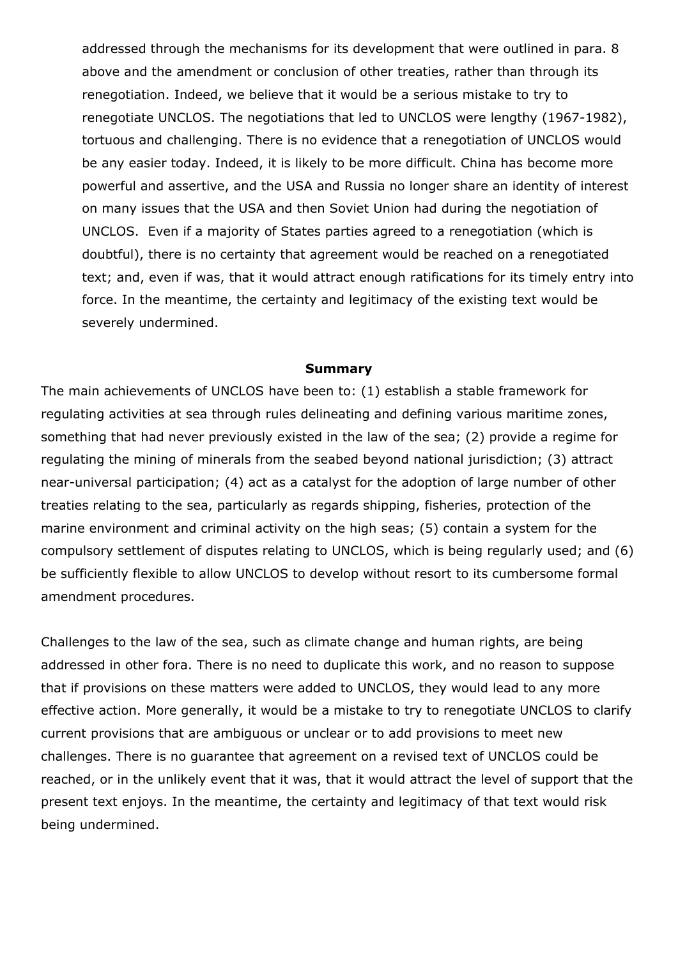addressed through the mechanisms for its development that were outlined in para. 8 above and the amendment or conclusion of other treaties, rather than through its renegotiation. Indeed, we believe that it would be a serious mistake to try to renegotiate UNCLOS. The negotiations that led to UNCLOS were lengthy (1967-1982), tortuous and challenging. There is no evidence that a renegotiation of UNCLOS would be any easier today. Indeed, it is likely to be more difficult. China has become more powerful and assertive, and the USA and Russia no longer share an identity of interest on many issues that the USA and then Soviet Union had during the negotiation of UNCLOS. Even if a majority of States parties agreed to a renegotiation (which is doubtful), there is no certainty that agreement would be reached on a renegotiated text; and, even if was, that it would attract enough ratifications for its timely entry into force. In the meantime, the certainty and legitimacy of the existing text would be severely undermined.

#### **Summary**

The main achievements of UNCLOS have been to: (1) establish a stable framework for regulating activities at sea through rules delineating and defining various maritime zones, something that had never previously existed in the law of the sea; (2) provide a regime for regulating the mining of minerals from the seabed beyond national jurisdiction; (3) attract near-universal participation; (4) act as a catalyst for the adoption of large number of other treaties relating to the sea, particularly as regards shipping, fisheries, protection of the marine environment and criminal activity on the high seas; (5) contain a system for the compulsory settlement of disputes relating to UNCLOS, which is being regularly used; and (6) be sufficiently flexible to allow UNCLOS to develop without resort to its cumbersome formal amendment procedures.

Challenges to the law of the sea, such as climate change and human rights, are being addressed in other fora. There is no need to duplicate this work, and no reason to suppose that if provisions on these matters were added to UNCLOS, they would lead to any more effective action. More generally, it would be a mistake to try to renegotiate UNCLOS to clarify current provisions that are ambiguous or unclear or to add provisions to meet new challenges. There is no guarantee that agreement on a revised text of UNCLOS could be reached, or in the unlikely event that it was, that it would attract the level of support that the present text enjoys. In the meantime, the certainty and legitimacy of that text would risk being undermined.